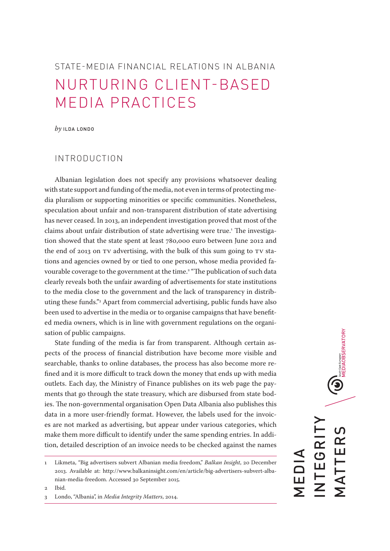# STATE-MEDIA FINANCIAL RELATIONS IN ALBANIA NURTURING CLIENT-BASED MEDIA PRACTICES

*by* ILDA LONDO

# INTRODUCTION

Albanian legislation does not specify any provisions whatsoever dealing with state support and funding of the media, not even in terms of protecting media pluralism or supporting minorities or specific communities. Nonetheless, speculation about unfair and non-transparent distribution of state advertising has never ceased. In 2013, an independent investigation proved that most of the claims about unfair distribution of state advertising were true.<sup>1</sup> The investigation showed that the state spent at least 780,000 euro between June 2012 and the end of 2013 on TV advertising, with the bulk of this sum going to TV stations and agencies owned by or tied to one person, whose media provided favourable coverage to the government at the time.<sup>2</sup> "The publication of such data clearly reveals both the unfair awarding of advertisements for state institutions to the media close to the government and the lack of transparency in distributing these funds."3 Apart from commercial advertising, public funds have also been used to advertise in the media or to organise campaigns that have benefited media owners, which is in line with government regulations on the organisation of public campaigns.

State funding of the media is far from transparent. Although certain aspects of the process of financial distribution have become more visible and searchable, thanks to online databases, the process has also become more refined and it is more difficult to track down the money that ends up with media outlets. Each day, the Ministry of Finance publishes on its web page the payments that go through the state treasury, which are disbursed from state bodies. The non-governmental organisation Open Data Albania also publishes this data in a more user-friendly format. However, the labels used for the invoices are not marked as advertising, but appear under various categories, which make them more difficult to identify under the same spending entries. In addition, detailed description of an invoice needs to be checked against the names

2 Ibid.

 $\bigodot_{\text{smines through} \atop \text{MEDIAOBSERVATION}}$ INTEGRITY TTERS MATTERS **EGRI** MEDIA —<br>Г<br>Г

<sup>1</sup> Likmeta, "Big advertisers subvert Albanian media freedom," *Balkan Insight*, 20 December 2013. Available at: http://www.balkaninsight.com/en/article/big-advertisers-subvert-albanian-media-freedom. Accessed 30 September 2015.

<sup>3</sup> Londo, "Albania", in *Media Integrity Matters*, 2014.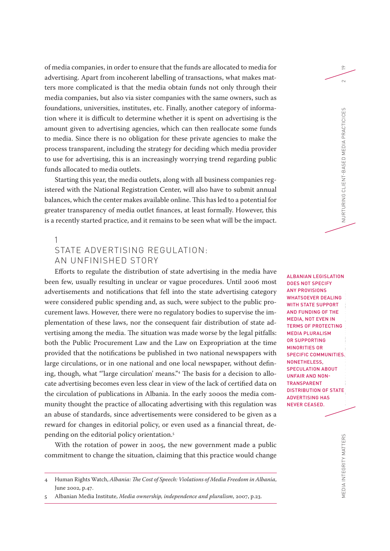of media companies, in order to ensure that the funds are allocated to media for advertising. Apart from incoherent labelling of transactions, what makes matters more complicated is that the media obtain funds not only through their media companies, but also via sister companies with the same owners, such as foundations, universities, institutes, etc. Finally, another category of information where it is difficult to determine whether it is spent on advertising is the amount given to advertising agencies, which can then reallocate some funds to media. Since there is no obligation for these private agencies to make the process transparent, including the strategy for deciding which media provider to use for advertising, this is an increasingly worrying trend regarding public funds allocated to media outlets.

Starting this year, the media outlets, along with all business companies registered with the National Registration Center, will also have to submit annual balances, which the center makes available online. This has led to a potential for greater transparency of media outlet finances, at least formally. However, this is a recently started practice, and it remains to be seen what will be the impact.

### 1

# STATE ADVERTISING REGUI ATION: AN UNFINISHED STORY

Efforts to regulate the distribution of state advertising in the media have been few, usually resulting in unclear or vague procedures. Until 2006 most advertisements and notifications that fell into the state advertising category were considered public spending and, as such, were subject to the public procurement laws. However, there were no regulatory bodies to supervise the implementation of these laws, nor the consequent fair distribution of state advertising among the media. The situation was made worse by the legal pitfalls: both the Public Procurement Law and the Law on Expropriation at the time provided that the notifications be published in two national newspapers with large circulations, or in one national and one local newspaper, without defining, though, what "'large circulation' means."4 The basis for a decision to allocate advertising becomes even less clear in view of the lack of certified data on the circulation of publications in Albania. In the early 2000s the media community thought the practice of allocating advertising with this regulation was an abuse of standards, since advertisements were considered to be given as a reward for changes in editorial policy, or even used as a financial threat, depending on the editorial policy orientation.5

With the rotation of power in 2005, the new government made a public commitment to change the situation, claiming that this practice would change

ALBANIAN LEGISLATION DOES NOT SPECIFY ANY PROVISIONS WHATSOEVER DEALING WITH STATE SUPPORT AND FUNDING OF THE MEDIA, NOT EVEN IN TERMS OF PROTECTING MEDIA PLURALISM OR SUPPORTING MINORITIES OR SPECIFIC COMMUNITIES. NONETHELESS, SPECULATION ABOUT UNFAIR AND NON-TRANSPARENT DISTRIBUTION OF STATE ADVERTISING HAS NEVER CEASED.

 $\approx$ 

<sup>4</sup> Human Rights Watch, *Albania: The Cost of Speech: Violations of Media Freedom in Albania*, June 2002, p.47.

<sup>5</sup> Albanian Media Institute, *Media ownership, independence and pluralism*, 2007, p.23.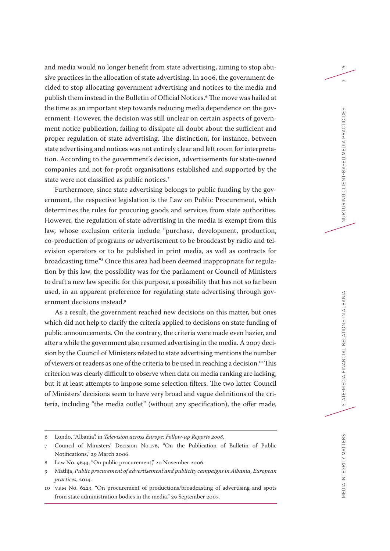and media would no longer benefit from state advertising, aiming to stop abusive practices in the allocation of state advertising. In 2006, the government decided to stop allocating government advertising and notices to the media and publish them instead in the Bulletin of Official Notices.6 The move was hailed at the time as an important step towards reducing media dependence on the government. However, the decision was still unclear on certain aspects of government notice publication, failing to dissipate all doubt about the sufficient and proper regulation of state advertising. The distinction, for instance, between state advertising and notices was not entirely clear and left room for interpretation. According to the government's decision, advertisements for state-owned companies and not-for-profit organisations established and supported by the state were not classified as public notices.7

Furthermore, since state advertising belongs to public funding by the government, the respective legislation is the Law on Public Procurement, which determines the rules for procuring goods and services from state authorities. However, the regulation of state advertising in the media is exempt from this law, whose exclusion criteria include "purchase, development, production, co-production of programs or advertisement to be broadcast by radio and television operators or to be published in print media, as well as contracts for broadcasting time."8 Once this area had been deemed inappropriate for regulation by this law, the possibility was for the parliament or Council of Ministers to draft a new law specific for this purpose, a possibility that has not so far been used, in an apparent preference for regulating state advertising through government decisions instead.9

As a result, the government reached new decisions on this matter, but ones which did not help to clarify the criteria applied to decisions on state funding of public announcements. On the contrary, the criteria were made even hazier, and after a while the government also resumed advertising in the media. A 2007 decision by the Council of Ministers related to state advertising mentions the number of viewers or readers as one of the criteria to be used in reaching a decision.10 This criterion was clearly difficult to observe when data on media ranking are lacking, but it at least attempts to impose some selection filters. The two latter Council of Ministers' decisions seem to have very broad and vague definitions of the criteria, including "the media outlet" (without any specification), the offer made, STATE-MEDIA FINANCIAL RELATIONS IN ALBANIA

EDIA INTEGRITY MATTERS

<sup>6</sup> Londo, "Albania", in *Television across Europe: Follow-up Reports 2008*.

<sup>7</sup> Council of Ministers' Decision No.176, "On the Publication of Bulletin of Public Notifications," 29 March 2006.

<sup>8</sup> Law No. 9643, "On public procurement," 20 November 2006.

<sup>9</sup> Matlija, *Public procurement of advertisement and publicity campaigns in Albania, European practices*, 2014.

<sup>10</sup> VKM No. 6223, "On procurement of productions/broadcasting of advertising and spots from state administration bodies in the media," 29 September 2007.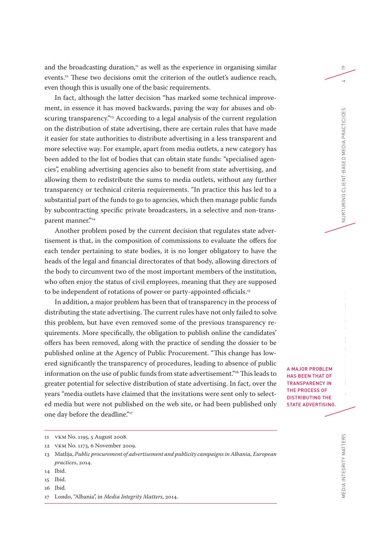and the broadcasting duration, 11 as well as the experience in organising similar events.12 These two decisions omit the criterion of the outlet's audience reach, even though this is usually one of the basic requirements.

In fact, although the latter decision "has marked some technical improvement, in essence it has moved backwards, paving the way for abuses and obscuring transparency.<sup>"13</sup> According to a legal analysis of the current regulation on the distribution of state advertising, there are certain rules that have made it easier for state authorities to distribute advertising in a less transparent and more selective way. For example, apart from media outlets, a new category has been added to the list of bodies that can obtain state funds: "specialised agencies", enabling advertising agencies also to benefit from state advertising, and allowing them to redistribute the sums to media outlets, without any further transparency or technical criteria requirements. "In practice this has led to a substantial part of the funds to go to agencies, which then manage public funds by subcontracting specific private broadcasters, in a selective and non-transparent manner."14

Another problem posed by the current decision that regulates state advertisement is that, in the composition of commissions to evaluate the offers for each tender pertaining to state bodies, it is no longer obligatory to have the heads of the legal and financial directorates of that body, allowing directors of the body to circumvent two of the most important members of the institution, who often enjoy the status of civil employees, meaning that they are supposed to be independent of rotations of power or party-appointed officials.<sup>15</sup>

In addition, a major problem has been that of transparency in the process of distributing the state advertising. The current rules have not only failed to solve this problem, but have even removed some of the previous transparency requirements. More specifically, the obligation to publish online the candidates' offers has been removed, along with the practice of sending the dossier to be published online at the Agency of Public Procurement. "This change has lowered significantly the transparency of procedures, leading to absence of public information on the use of public funds from state advertisement."16 This leads to greater potential for selective distribution of state advertising. In fact, over the years "media outlets have claimed that the invitations were sent only to selected media but were not published on the web site, or had been published only one day before the deadline."<sup>17</sup>

12 VKM No. 1173, 6 November 2009.

16 Ibid.

A MAJOR PROBLEM HAS BEEN THAT OF TRANSPARENCY IN THE PROCESS OF DISTRIBUTING THE STATE ADVERTISING. 19

EDIA INTEGRITY MATTERS

<sup>11</sup> VKM No. 1195, 5 August 2008.

<sup>13</sup> Matlija, *Public procurement of advertisement and publicity campaigns in Albania, European practices*, 2014.

<sup>14</sup> Ibid.

<sup>15</sup> Ibid.

<sup>17</sup> Londo, "Albania", in *Media Integrity Matters*, 2014.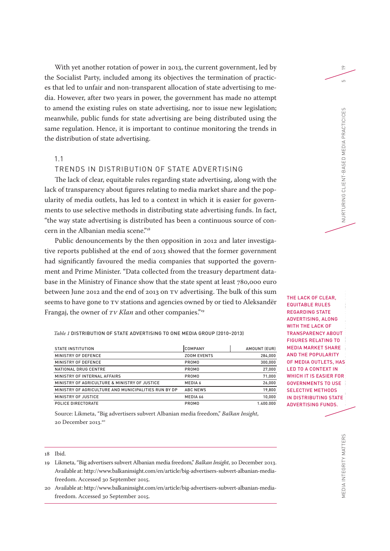With yet another rotation of power in 2013, the current government, led by the Socialist Party, included among its objectives the termination of practices that led to unfair and non-transparent allocation of state advertising to media. However, after two years in power, the government has made no attempt to amend the existing rules on state advertising, nor to issue new legislation; meanwhile, public funds for state advertising are being distributed using the same regulation. Hence, it is important to continue monitoring the trends in the distribution of state advertising.

## 1.1

# TRENDS IN DISTRIBUTION OF STATE ADVERTISING

The lack of clear, equitable rules regarding state advertising, along with the lack of transparency about figures relating to media market share and the popularity of media outlets, has led to a context in which it is easier for governments to use selective methods in distributing state advertising funds. In fact, "the way state advertising is distributed has been a continuous source of concern in the Albanian media scene."<sup>18</sup>

Public denouncements by the then opposition in 2012 and later investigative reports published at the end of 2013 showed that the former government had significantly favoured the media companies that supported the government and Prime Minister. "Data collected from the treasury department database in the Ministry of Finance show that the state spent at least 780,000 euro between June 2012 and the end of 2013 on TV advertising. The bulk of this sum seems to have gone to TV stations and agencies owned by or tied to Aleksandër Frangaj, the owner of *TV Klan* and other companies."19

*Table 1* DISTRIBUTION OF STATE ADVERTISING TO ONE MEDIA GROUP (2010–2013)

| STATE INSTITUTION                                    | ICOMPANY           | AMOUNT (EUR) |
|------------------------------------------------------|--------------------|--------------|
| MINISTRY OF DEFENCE                                  | <b>ZOOM EVENTS</b> | 284,000      |
| MINISTRY OF DEFENCE                                  | PROMO              | 300,000      |
| NATIONAL DRUG CENTRE                                 | PROMO              | 27,000       |
| MINISTRY OF INTERNAL AFFAIRS                         | PROMO              | 71,000       |
| MINISTRY OF AGRICULTURE & MINISTRY OF JUSTICE        | MEDIA 6            | 26,000       |
| MINISTRY OF AGRICULTURE AND MUNICIPALITIES RUN BY DP | <b>ABC NEWS</b>    | 19,800       |
| MINISTRY OF JUSTICE                                  | MEDIA 66           | 10,000       |
| POLICE DIRECTORATE                                   | PROMO              | 1.400.000    |

Source: Likmeta, "Big advertisers subvert Albanian media freedom," *Balkan Insight*, 20 December 2013.<sup>20</sup>

#### 18 Ibid.

- 19 Likmeta, "Big advertisers subvert Albanian media freedom," *Balkan Insight*, 20 December 2013. Available at: http://www.balkaninsight.com/en/article/big-advertisers-subvert-albanian-mediafreedom. Accessed 30 September 2015.
- 20 Available at: http://www.balkaninsight.com/en/article/big-advertisers-subvert-albanian-mediafreedom. Accessed 30 September 2015.

THE LACK OF CLEAR, EQUITABLE RULES REGARDING STATE ADVERTISING, ALONG WITH THE LACK OF TRANSPARENCY ABOUT FIGURES RELATING TO MEDIA MARKET SHARE AND THE POPULARITY OF MEDIA OUTLETS, HAS LED TO A CONTEXT IN WHICH IT IS EASIER FOR GOVERNMENTS TO USE SELECTIVE METHODS IN DISTRIBUTING STATE ADVERTISING FUNDS.

MEDIA INTEGRITY MATTERS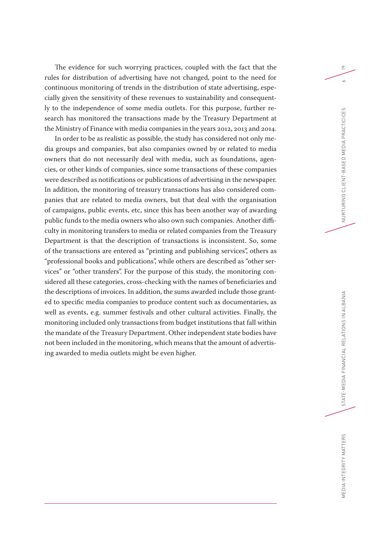The evidence for such worrying practices, coupled with the fact that the rules for distribution of advertising have not changed, point to the need for continuous monitoring of trends in the distribution of state advertising, especially given the sensitivity of these revenues to sustainability and consequently to the independence of some media outlets. For this purpose, further research has monitored the transactions made by the Treasury Department at the Ministry of Finance with media companies in the years 2012, 2013 and 2014.

In order to be as realistic as possible, the study has considered not only media groups and companies, but also companies owned by or related to media owners that do not necessarily deal with media, such as foundations, agencies, or other kinds of companies, since some transactions of these companies were described as notifications or publications of advertising in the newspaper. In addition, the monitoring of treasury transactions has also considered companies that are related to media owners, but that deal with the organisation of campaigns, public events, etc, since this has been another way of awarding public funds to the media owners who also own such companies. Another difficulty in monitoring transfers to media or related companies from the Treasury Department is that the description of transactions is inconsistent. So, some of the transactions are entered as "printing and publishing services", others as "professional books and publications", while others are described as "other services" or "other transfers". For the purpose of this study, the monitoring considered all these categories, cross-checking with the names of beneficiaries and the descriptions of invoices. In addition, the sums awarded include those granted to specific media companies to produce content such as documentaries, as well as events, e.g. summer festivals and other cultural activities. Finally, the monitoring included only transactions from budget institutions that fall within the mandate of the Treasury Department. Other independent state bodies have not been included in the monitoring, which means that the amount of advertising awarded to media outlets might be even higher.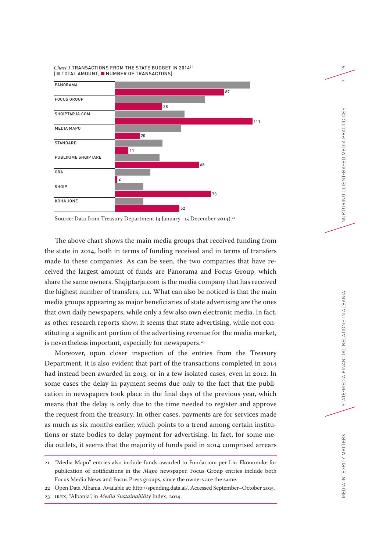



Source: Data from Treasury Department (3 January–15 December 2014).<sup>22</sup>

The above chart shows the main media groups that received funding from the state in 2014, both in terms of funding received and in terms of transfers made to these companies. As can be seen, the two companies that have received the largest amount of funds are Panorama and Focus Group, which share the same owners. Shqiptarja.com is the media company that has received the highest number of transfers, 111. What can also be noticed is that the main media groups appearing as major beneficiaries of state advertising are the ones that own daily newspapers, while only a few also own electronic media. In fact, as other research reports show, it seems that state advertising, while not constituting a significant portion of the advertising revenue for the media market, is nevertheless important, especially for newspapers.<sup>23</sup>

Moreover, upon closer inspection of the entries from the Treasury Department, it is also evident that part of the transactions completed in 2014 had instead been awarded in 2013, or in a few isolated cases, even in 2012. In some cases the delay in payment seems due only to the fact that the publication in newspapers took place in the final days of the previous year, which means that the delay is only due to the time needed to register and approve the request from the treasury. In other cases, payments are for services made as much as six months earlier, which points to a trend among certain institutions or state bodies to delay payment for advertising. In fact, for some media outlets, it seems that the majority of funds paid in 2014 comprised arrears

23 IREX, "Albania", in *Media Sustainability* Index, 2014.

<sup>21</sup> "Media Mapo" entries also include funds awarded to Fondacioni për Liri Ekonomike for publication of notifications in the *Mapo* newspaper. Focus Group entries include both Focus Media News and Focus Press groups, since the owners are the same.

<sup>22</sup> Open Data Albania. Available at: http://spending.data.al/. Accessed September–October 2015.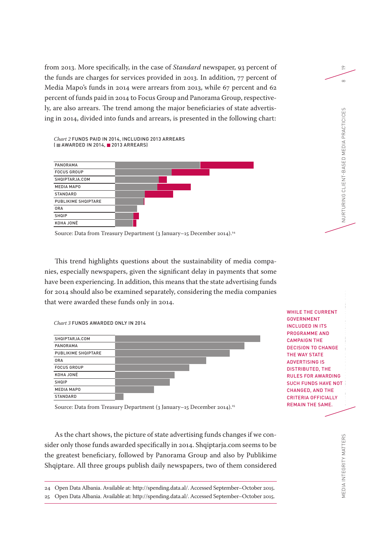from 2013. More specifically, in the case of *Standard* newspaper, 93 percent of the funds are charges for services provided in 2013. In addition, 77 percent of Media Mapo's funds in 2014 were arrears from 2013, while 67 percent and 62 percent of funds paid in 2014 to Focus Group and Panorama Group, respectively, are also arrears. The trend among the major beneficiaries of state advertising in 2014, divided into funds and arrears, is presented in the following chart:

*Chart 2* FUNDS PAID IN 2014, INCLUDING 2013 ARREARS (  $M$  AWARDED IN 2014,  $M$  2013 ARREARS)

| PANORAMA            |  |  |  |
|---------------------|--|--|--|
| <b>FOCUS GROUP</b>  |  |  |  |
| SHQIPTARJA.COM      |  |  |  |
| <b>MEDIA MAPO</b>   |  |  |  |
| <b>STANDARD</b>     |  |  |  |
| PUBLIKIME SHQIPTARE |  |  |  |
| <b>ORA</b>          |  |  |  |
| <b>SHQIP</b>        |  |  |  |
| KOHA JONË           |  |  |  |

Source: Data from Treasury Department (3 January–15 December 2014).24

This trend highlights questions about the sustainability of media companies, especially newspapers, given the significant delay in payments that some have been experiencing. In addition, this means that the state advertising funds for 2014 should also be examined separately, considering the media companies that were awarded these funds only in 2014.

*Chart 3* FUNDS AWARDED ONLY IN 2014



WHILE THE CURRENT GOVERNMENT INCLUDED IN ITS PROGRAMME AND CAMPAIGN THE DECISION TO CHANGE THE WAY STATE ADVERTISING IS DISTRIBUTED, THE RULES FOR AWARDING SUCH FUNDS HAVE NOT CHANGED, AND THE CRITERIA OFFICIALLY REMAIN THE SAME.

Source: Data from Treasury Department (3 January–15 December 2014).<sup>25</sup>

As the chart shows, the picture of state advertising funds changes if we consider only those funds awarded specifically in 2014. Shqiptarja.com seems to be the greatest beneficiary, followed by Panorama Group and also by Publikime Shqiptare. All three groups publish daily newspapers, two of them considered

24 Open Data Albania. Available at: http://spending.data.al/. Accessed September–October 2015.

25 Open Data Albania. Available at: http://spending.data.al/. Accessed September–October 2015.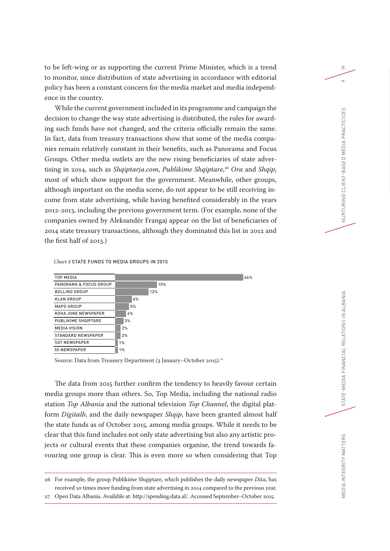to be left-wing or as supporting the current Prime Minister, which is a trend to monitor, since distribution of state advertising in accordance with editorial policy has been a constant concern for the media market and media independence in the country.

While the current government included in its programme and campaign the decision to change the way state advertising is distributed, the rules for awarding such funds have not changed, and the criteria officially remain the same. In fact, data from treasury transactions show that some of the media companies remain relatively constant in their benefits, such as Panorama and Focus Groups. Other media outlets are the new rising beneficiaries of state advertising in 2014, such as *Shqiptarja.com*, *Publikime Shqiptare*, <sup>26</sup> *Ora* and *Shqip*, most of which show support for the government. Meanwhile, other groups, although important on the media scene, do not appear to be still receiving income from state advertising, while having benefited considerably in the years 2012-2013, including the previous government term. (For example, none of the companies owned by Aleksandër Frangaj appear on the list of beneficiaries of 2014 state treasury transactions, although they dominated this list in 2012 and the first half of 2013.)

*Chart 4* STATE FUNDS TO MEDIA GROUPS IN 2015



Source: Data from Treasury Department (3 January–October 2015).27

The data from 2015 further confirm the tendency to heavily favour certain media groups more than others. So, Top Media, including the national radio station *Top Albania* and the national television *Top Channel*, the digital platform *Digitalb*, and the daily newspaper *Shqip*, have been granted almost half the state funds as of October 2015, among media groups. While it needs to be clear that this fund includes not only state advertising but also any artistic projects or cultural events that these companies organise, the trend towards favouring one group is clear. This is even more so when considering that Top

STATE-MEDIA FINANCIAL RELATIONS IN ALBANIA

EDIA INTEGRITY MATTERS

<sup>26</sup> For example, the group Publikime Shqiptare, which publishes the daily newspaper *Dita*, has received 10 times more funding from state advertising in 2014 compared to the previous year.

<sup>27</sup> Open Data Albania. Available at: http://spending.data.al/. Accessed September–October 2015.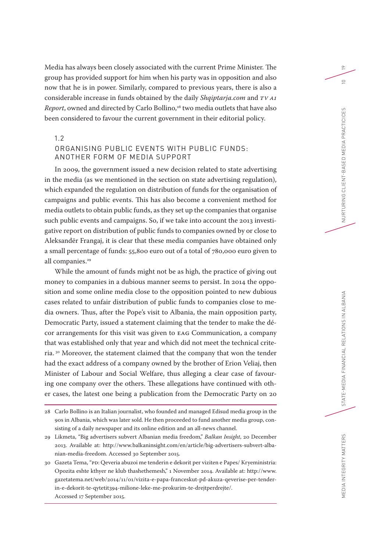Media has always been closely associated with the current Prime Minister. The group has provided support for him when his party was in opposition and also now that he is in power. Similarly, compared to previous years, there is also a considerable increase in funds obtained by the daily *Shqiptarja.com* and *TV A1 Report*, owned and directed by Carlo Bollino,<sup>28</sup> two media outlets that have also been considered to favour the current government in their editorial policy.

1.2

# ORGANISING PUBLIC EVENTS WITH PUBLIC FUNDS: ANOTHER FORM OF MEDIA SUPPORT

In 2009, the government issued a new decision related to state advertising in the media (as we mentioned in the section on state advertising regulation), which expanded the regulation on distribution of funds for the organisation of campaigns and public events. This has also become a convenient method for media outlets to obtain public funds, as they set up the companies that organise such public events and campaigns. So, if we take into account the 2013 investigative report on distribution of public funds to companies owned by or close to Aleksandër Frangaj, it is clear that these media companies have obtained only a small percentage of funds: 55,800 euro out of a total of 780,000 euro given to all companies.<sup>29</sup>

While the amount of funds might not be as high, the practice of giving out money to companies in a dubious manner seems to persist. In 2014 the opposition and some online media close to the opposition pointed to new dubious cases related to unfair distribution of public funds to companies close to media owners. Thus, after the Pope's visit to Albania, the main opposition party, Democratic Party, issued a statement claiming that the tender to make the décor arrangements for this visit was given to EAG Communication, a company that was established only that year and which did not meet the technical criteria. 30 Moreover, the statement claimed that the company that won the tender had the exact address of a company owned by the brother of Erion Veliaj, then Minister of Labour and Social Welfare, thus alleging a clear case of favouring one company over the others. These allegations have continued with other cases, the latest one being a publication from the Democratic Party on 20 19

MEDIA INTEGRITY MATTERS

<sup>28</sup> Carlo Bollino is an Italian journalist, who founded and managed Edisud media group in the 90s in Albania, which was later sold. He then proceeded to fund another media group, consisting of a daily newspaper and its online edition and an all-news channel.

<sup>29</sup> Likmeta, "Big advertisers subvert Albanian media freedom," *Balkan Insight*, 20 December 2013. Available at: http://www.balkaninsight.com/en/article/big-advertisers-subvert-albanian-media-freedom. Accessed 30 September 2015.

<sup>30</sup> Gazeta Tema, "PD: Qeveria abuzoi me tenderin e dekorit per viziten e Papes/ Kryeministria: Opozita eshte kthyer ne klub thashethemesh," 1 November 2014. Available at: http://www. gazetatema.net/web/2014/11/01/vizita-e-papa-franceskut-pd-akuza-qeverise-per-tenderin-e-dekorit-te-qytetit394-milione-leke-me-prokurim-te-drejtperdrejte/. Accessed 17 September 2015.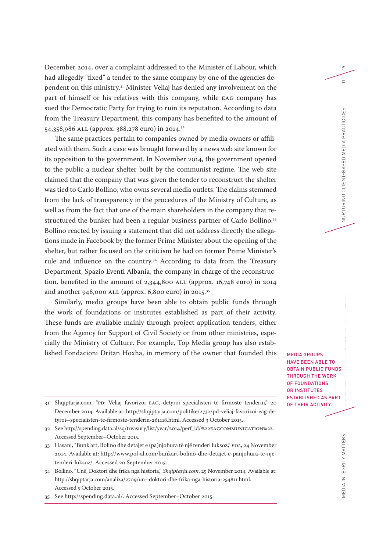December 2014, over a complaint addressed to the Minister of Labour, which had allegedly "fixed" a tender to the same company by one of the agencies dependent on this ministry.31 Minister Veliaj has denied any involvement on the part of himself or his relatives with this company, while EAG company has sued the Democratic Party for trying to ruin its reputation. According to data from the Treasury Department, this company has benefited to the amount of 54,358,986 ALL (approx. 388,278 euro) in 2014.32

The same practices pertain to companies owned by media owners or affiliated with them. Such a case was brought forward by a news web site known for its opposition to the government. In November 2014, the government opened to the public a nuclear shelter built by the communist regime. The web site claimed that the company that was given the tender to reconstruct the shelter was tied to Carlo Bollino, who owns several media outlets. The claims stemmed from the lack of transparency in the procedures of the Ministry of Culture, as well as from the fact that one of the main shareholders in the company that restructured the bunker had been a regular business partner of Carlo Bollino.<sup>33</sup> Bollino reacted by issuing a statement that did not address directly the allegations made in Facebook by the former Prime Minister about the opening of the shelter, but rather focused on the criticism he had on former Prime Minister's rule and influence on the country.34 According to data from the Treasury Department, Spazio Eventi Albania, the company in charge of the reconstruction, benefited in the amount of 2,344,800 ALL (approx. 16,748 euro) in 2014 and another 948,000 ALL (approx. 6,800 euro) in 2015.35

Similarly, media groups have been able to obtain public funds through the work of foundations or institutes established as part of their activity. These funds are available mainly through project application tenders, either from the Agency for Support of Civil Society or from other ministries, especially the Ministry of Culture. For example, Top Media group has also established Fondacioni Dritan Hoxha, in memory of the owner that founded this

- 31 Shqiptarja.com, "PD: Veliaj favorizoi EAG, detyroi specialisten të firmoste tenderin," 20 December 2014. Available at: http://shqiptarja.com/politike/2732/pd-veliaj-favorizoi-eag-detyroi--specialisten-te-firmoste-tenderin-261118.html. Accessed 3 October 2015.
- 32 See http://spending.data.al/sq/treasury/list/year/2014/perf\_id/%22EAGCOMMUNICATION%22. Accessed September–October 2015.
- 33 Hasani, "Bunk'art, Bolino dhe detajet e (pa)njohura të një tenderi luksoz," *POL*, 24 November 2014. Available at: http://www.pol-al.com/bunkart-bolino-dhe-detajet-e-panjohura-te-njetenderi-luksoz/. Accessed 20 September 2015.
- 34 Bollino, "Unë, Doktori dhe frika nga historia," *Shqiptarja.com*, 25 November 2014. Available at: http://shqiptarja.com/analiza/2709/un--doktori-dhe-frika-nga-historia-254811.html. Accessed 5 October 2015.

35 See http://spending.data.al/. Accessed September–October 2015.

19

 $\equiv$ 

NURTURING CLIENT-BASED MEDIA PRACTICICES

MEDIA GROUPS HAVE BEEN ABLE TO OBTAIN PUBLIC FUNDS THROUGH THE WORK OF FOUNDATIONS OR INSTITUTES ESTABLISHED AS PART OF THEIR ACTIVITY.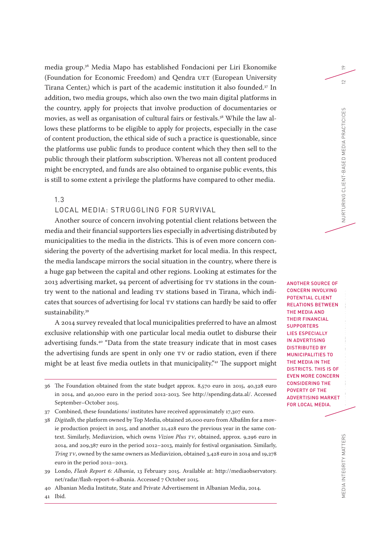media group. 36 Media Mapo has established Fondacioni per Liri Ekonomike (Foundation for Economic Freedom) and Qendra UET (European University Tirana Center,) which is part of the academic institution it also founded.37 In addition, two media groups, which also own the two main digital platforms in the country, apply for projects that involve production of documentaries or movies, as well as organisation of cultural fairs or festivals.38 While the law allows these platforms to be eligible to apply for projects, especially in the case of content production, the ethical side of such a practice is questionable, since the platforms use public funds to produce content which they then sell to the public through their platform subscription. Whereas not all content produced might be encrypted, and funds are also obtained to organise public events, this is still to some extent a privilege the platforms have compared to other media.

1.3

## LOCAL MEDIA: STRUGGLING FOR SURVIVAL

Another source of concern involving potential client relations between the media and their financial supporters lies especially in advertising distributed by municipalities to the media in the districts. This is of even more concern considering the poverty of the advertising market for local media. In this respect, the media landscape mirrors the social situation in the country, where there is a huge gap between the capital and other regions. Looking at estimates for the 2013 advertising market, 94 percent of advertising for TV stations in the country went to the national and leading TV stations based in Tirana, which indicates that sources of advertising for local TV stations can hardly be said to offer sustainability.39

A 2014 survey revealed that local municipalities preferred to have an almost exclusive relationship with one particular local media outlet to disburse their advertising funds.40 "Data from the state treasury indicate that in most cases the advertising funds are spent in only one TV or radio station, even if there might be at least five media outlets in that municipality."41 The support might

- 36 The Foundation obtained from the state budget approx. 8,570 euro in 2015, 40,328 euro in 2014, and 40,000 euro in the period 2012-2013. See http://spending.data.al/. Accessed September–October 2015.
- 37 Combined, these foundations/ institutes have received approximately 17,307 euro.
- 38 *Digitalb*, the platform owned by Top Media, obtained 26,000 euro from Albafilm for a movie production project in 2015, and another 21,428 euro the previous year in the same context. Similarly, Mediavizion, which owns *Vizion Plus TV*, obtained, approx. 9,296 euro in 2014, and 209,387 euro in the period 2012–2013, mainly for festival organisation. Similarly, *Tring TV*, owned by the same owners as Mediavizion, obtained 3,428 euro in 2014 and 19,278 euro in the period 2012–2013.
- 39 Londo, *Flash Report 6: Albania*, 13 February 2015. Available at: http://mediaobservatory. net/radar/flash-report-6-albania. Accessed 7 October 2015.
- 40 Albanian Media Institute, State and Private Advertisement in Albanian Media, 2014.

 $\approx$ 

ANOTHER SOURCE OF CONCERN INVOLVING POTENTIAL CLIENT RELATIONS BETWEEN THE MEDIA AND THEIR FINANCIAL **SUPPORTERS** LIES ESPECIALLY IN ADVERTISING DISTRIBUTED BY MUNICIPALITIES TO THE MEDIA IN THE DISTRICTS. THIS IS OF EVEN MORE CONCERN CONSIDERING THE POVERTY OF THE ADVERTISING MARKET FOR LOCAL MEDIA.

41 Ibid.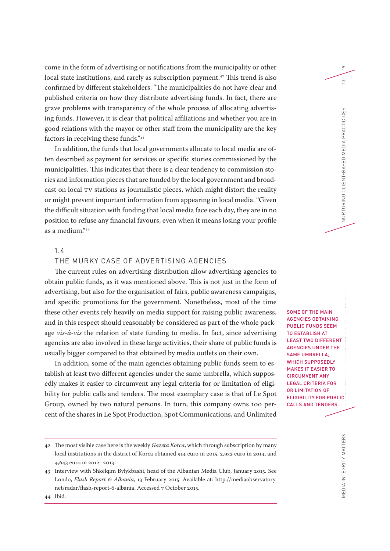come in the form of advertising or notifications from the municipality or other local state institutions, and rarely as subscription payment.<sup>42</sup> This trend is also confirmed by different stakeholders. "The municipalities do not have clear and published criteria on how they distribute advertising funds. In fact, there are grave problems with transparency of the whole process of allocating advertising funds. However, it is clear that political affiliations and whether you are in good relations with the mayor or other staff from the municipality are the key factors in receiving these funds."43

In addition, the funds that local governments allocate to local media are often described as payment for services or specific stories commissioned by the municipalities. This indicates that there is a clear tendency to commission stories and information pieces that are funded by the local government and broadcast on local TV stations as journalistic pieces, which might distort the reality or might prevent important information from appearing in local media. "Given the difficult situation with funding that local media face each day, they are in no position to refuse any financial favours, even when it means losing your profile as a medium."44

## 1.4

## THE MURKY CASE OF ADVERTISING AGENCIES

The current rules on advertising distribution allow advertising agencies to obtain public funds, as it was mentioned above. This is not just in the form of advertising, but also for the organisation of fairs, public awareness campaigns, and specific promotions for the government. Nonetheless, most of the time these other events rely heavily on media support for raising public awareness, and in this respect should reasonably be considered as part of the whole package *vis-à-vis* the relation of state funding to media. In fact, since advertising agencies are also involved in these large activities, their share of public funds is usually bigger compared to that obtained by media outlets on their own.

In addition, some of the main agencies obtaining public funds seem to establish at least two different agencies under the same umbrella, which supposedly makes it easier to circumvent any legal criteria for or limitation of eligibility for public calls and tenders. The most exemplary case is that of Le Spot Group, owned by two natural persons. In turn, this company owns 100 percent of the shares in Le Spot Production, Spot Communications, and Unlimited

SOME OF THE MAIN AGENCIES OBTAINING PUBLIC FUNDS SEEM TO ESTABLISH AT LEAST TWO DIFFERENT AGENCIES UNDER THE SAME UMBRELLA, WHICH SUPPOSEDLY MAKES IT EASIER TO CIRCUMVENT ANY LEGAL CRITERIA FOR OR LIMITATION OF ELIGIBILITY FOR PUBLIC CALLS AND TENDERS.

 $\approx$ 

 $\tilde{c}$ 

NURTURING CLIENT-BASED MEDIA PRACTICICES

<sup>42</sup> The most visible case here is the weekly *Gazeta Korca*, which through subscription by many local institutions in the district of Korca obtained 914 euro in 2015, 2,932 euro in 2014, and 4,643 euro in 2012–2013.

<sup>43</sup> Interview with Shkëlqim Bylykbashi, head of the Albanian Media Club, January 2015. See Londo, *Flash Report 6: Albania*, 13 February 2015. Available at: http://mediaobservatory. net/radar/flash-report-6-albania. Accessed 7 October 2015.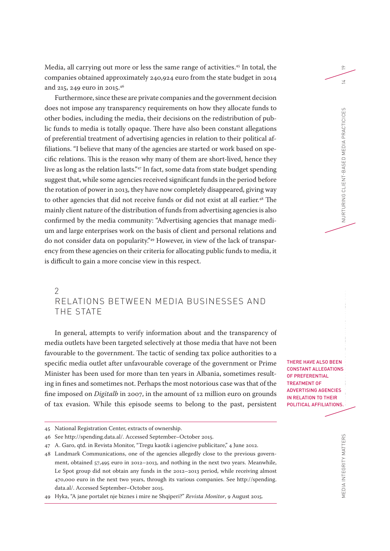Media, all carrying out more or less the same range of activities. 45 In total, the companies obtained approximately 240,924 euro from the state budget in 2014 and 215, 249 euro in 2015.46

Furthermore, since these are private companies and the government decision does not impose any transparency requirements on how they allocate funds to other bodies, including the media, their decisions on the redistribution of public funds to media is totally opaque. There have also been constant allegations of preferential treatment of advertising agencies in relation to their political affiliations. "I believe that many of the agencies are started or work based on specific relations. This is the reason why many of them are short-lived, hence they live as long as the relation lasts."47 In fact, some data from state budget spending suggest that, while some agencies received significant funds in the period before the rotation of power in 2013, they have now completely disappeared, giving way to other agencies that did not receive funds or did not exist at all earlier.<sup>48</sup> The mainly client nature of the distribution of funds from advertising agencies is also confirmed by the media community: "Advertising agencies that manage medium and large enterprises work on the basis of client and personal relations and do not consider data on popularity."49 However, in view of the lack of transparency from these agencies on their criteria for allocating public funds to media, it is difficult to gain a more concise view in this respect.

# 2 RELATIONS BETWEEN MEDIA BUSINESSES AND THE STATE

In general, attempts to verify information about and the transparency of media outlets have been targeted selectively at those media that have not been favourable to the government. The tactic of sending tax police authorities to a specific media outlet after unfavourable coverage of the government or Prime Minister has been used for more than ten years in Albania, sometimes resulting in fines and sometimes not. Perhaps the most notorious case was that of the fine imposed on *Digitalb* in 2007, in the amount of 12 million euro on grounds of tax evasion. While this episode seems to belong to the past, persistent

- 46 See http://spending.data.al/. Accessed September–October 2015.
- 47 A. Garo, qtd. in Revista Monitor, "Tregu kaotik i agjencive publicitare," 4 June 2012.

THERE HAVE ALSO BEEN CONSTANT ALLEGATIONS OF PREFERENTIAL TREATMENT OF ADVERTISING AGENCIES IN RELATION TO THEIR POLITICAL AFFILIATIONS.

 $\approx$ 

<sup>45</sup> National Registration Center, extracts of ownership.

<sup>48</sup> Landmark Communications, one of the agencies allegedly close to the previous government, obtained 57,495 euro in 2012–2013, and nothing in the next two years. Meanwhile, Le Spot group did not obtain any funds in the 2012–2013 period, while receiving almost 470,000 euro in the next two years, through its various companies. See http://spending. data.al/. Accessed September–October 2015.

<sup>49</sup> Hyka, "A jane portalet nje biznes i mire ne Shqiperi?" *Revista Monitor*, 9 August 2015.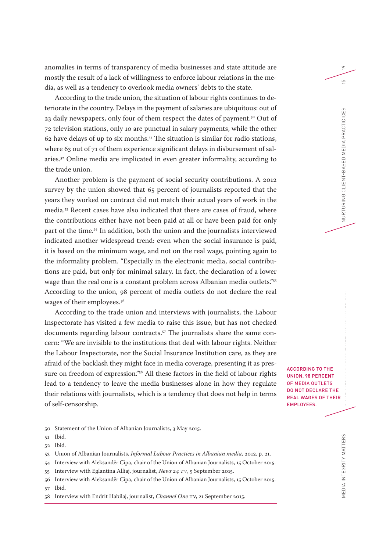anomalies in terms of transparency of media businesses and state attitude are mostly the result of a lack of willingness to enforce labour relations in the media, as well as a tendency to overlook media owners' debts to the state.

According to the trade union, the situation of labour rights continues to deteriorate in the country. Delays in the payment of salaries are ubiquitous: out of 23 daily newspapers, only four of them respect the dates of payment.<sup>50</sup> Out of 72 television stations, only 10 are punctual in salary payments, while the other 62 have delays of up to six months. $51$  The situation is similar for radio stations, where 63 out of 71 of them experience significant delays in disbursement of salaries.52 Online media are implicated in even greater informality, according to the trade union.

Another problem is the payment of social security contributions. A 2012 survey by the union showed that 65 percent of journalists reported that the years they worked on contract did not match their actual years of work in the media.53 Recent cases have also indicated that there are cases of fraud, where the contributions either have not been paid at all or have been paid for only part of the time.54 In addition, both the union and the journalists interviewed indicated another widespread trend: even when the social insurance is paid, it is based on the minimum wage, and not on the real wage, pointing again to the informality problem. "Especially in the electronic media, social contributions are paid, but only for minimal salary. In fact, the declaration of a lower wage than the real one is a constant problem across Albanian media outlets."<sup>55</sup> According to the union, 98 percent of media outlets do not declare the real wages of their employees.<sup>56</sup>

According to the trade union and interviews with journalists, the Labour Inspectorate has visited a few media to raise this issue, but has not checked documents regarding labour contracts.<sup>57</sup> The journalists share the same concern: "We are invisible to the institutions that deal with labour rights. Neither the Labour Inspectorate, nor the Social Insurance Institution care, as they are afraid of the backlash they might face in media coverage, presenting it as pressure on freedom of expression."<sup>58</sup> All these factors in the field of labour rights lead to a tendency to leave the media businesses alone in how they regulate their relations with journalists, which is a tendency that does not help in terms of self-censorship.

57 Ibid.

ACCORDING TO THE UNION, 98 PERCENT

OF MEDIA OUTLETS DO NOT DECLARE THE REAL WAGES OF THEIR EMPLOYEES.

 $\approx$ 

<sup>50</sup> Statement of the Union of Albanian Journalists, 3 May 2015.

<sup>51</sup> Ibid.

<sup>52</sup> Ibid.

<sup>53</sup> Union of Albanian Journalists, *Informal Labour Practices in Albanian media*, 2012, p. 21.

<sup>54</sup> Interview with Aleksandër Cipa, chair of the Union of Albanian Journalists, 15 October 2015.

<sup>55</sup> Interview with Eglantina Alliaj, journalist, *News 24 TV*, 5 September 2015.

<sup>56</sup> Interview with Aleksandër Cipa, chair of the Union of Albanian Journalists, 15 October 2015.

<sup>58</sup> Interview with Endrit Habilaj, journalist, *Channel One* TV, 21 September 2015.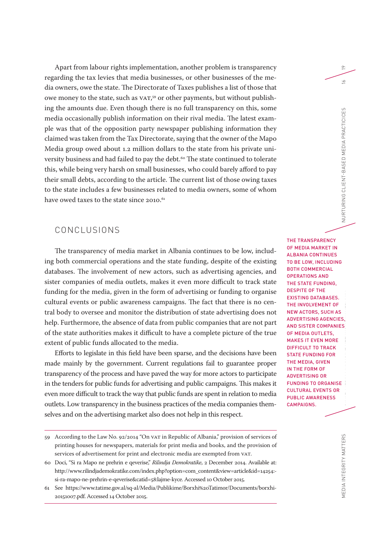Apart from labour rights implementation, another problem is transparency regarding the tax levies that media businesses, or other businesses of the media owners, owe the state. The Directorate of Taxes publishes a list of those that owe money to the state, such as VAT, 59 or other payments, but without publishing the amounts due. Even though there is no full transparency on this, some media occasionally publish information on their rival media. The latest example was that of the opposition party newspaper publishing information they claimed was taken from the Tax Directorate, saying that the owner of the Mapo Media group owed about 1.2 million dollars to the state from his private university business and had failed to pay the debt.<sup>60</sup> The state continued to tolerate this, while being very harsh on small businesses, who could barely afford to pay their small debts, according to the article. The current list of those owing taxes to the state includes a few businesses related to media owners, some of whom have owed taxes to the state since  $2010^{61}$ 

# CONCLUSIONS

The transparency of media market in Albania continues to be low, including both commercial operations and the state funding, despite of the existing databases. The involvement of new actors, such as advertising agencies, and sister companies of media outlets, makes it even more difficult to track state funding for the media, given in the form of advertising or funding to organise cultural events or public awareness campaigns. The fact that there is no central body to oversee and monitor the distribution of state advertising does not help. Furthermore, the absence of data from public companies that are not part of the state authorities makes it difficult to have a complete picture of the true extent of public funds allocated to the media.

Efforts to legislate in this field have been sparse, and the decisions have been made mainly by the government. Current regulations fail to guarantee proper transparency of the process and have paved the way for more actors to participate in the tenders for public funds for advertising and public campaigns. This makes it even more difficult to track the way that public funds are spent in relation to media outlets. Low transparency in the business practices of the media companies themselves and on the advertising market also does not help in this respect.

THE TRANSPARENCY OF MEDIA MARKET IN ALBANIA CONTINUES TO BE LOW, INCLUDING BOTH COMMERCIAL OPERATIONS AND THE STATE FUNDING, DESPITE OF THE EXISTING DATABASES. THE INVOLVEMENT OF NEW ACTORS, SUCH AS ADVERTISING AGENCIES, AND SISTER COMPANIES OF MEDIA OUTLETS, MAKES IT EVEN MORE DIFFICULT TO TRACK STATE FUNDING FOR THE MEDIA, GIVEN IN THE FORM OF ADVERTISING OR FUNDING TO ORGANISE CULTURAL EVENTS OR PUBLIC AWARENESS CAMPAIGNS.

 $\approx$ 

 $\leq$ 

<sup>59</sup> According to the Law No. 92/2014 "On VAT in Republic of Albania," provision of services of printing houses for newspapers, materials for print media and books, and the provision of services of advertisement for print and electronic media are exempted from VAT.

<sup>60</sup> Doci, "Si ra Mapo ne prehrin e qeverise," *Rilindja Demokratike*, 2 December 2014. Available at: http://www.rilindjademokratike.com/index.php?option=com\_content&view=article&id=14254: si-ra-mapo-ne-prehrin-e-qeverise&catid=58:lajme-kyce. Accessed 10 October 2015.

<sup>61</sup> See https://www.tatime.gov.al/sq-al/Media/Publikime/Borxhi%20Tatimor/Documents/borxhi - 20151007.pdf. Accessed 14 October 2015.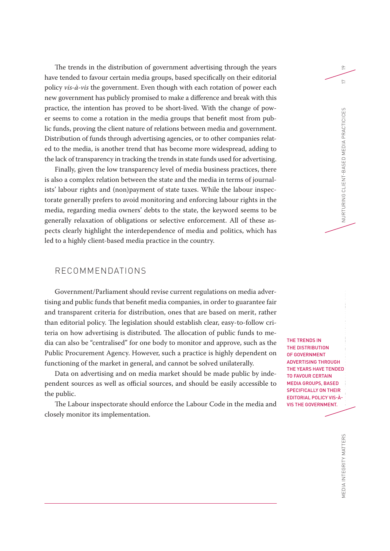The trends in the distribution of government advertising through the years have tended to favour certain media groups, based specifically on their editorial policy *vis-à-vis* the government. Even though with each rotation of power each new government has publicly promised to make a difference and break with this practice, the intention has proved to be short-lived. With the change of power seems to come a rotation in the media groups that benefit most from public funds, proving the client nature of relations between media and government. Distribution of funds through advertising agencies, or to other companies related to the media, is another trend that has become more widespread, adding to the lack of transparency in tracking the trends in state funds used for advertising.

Finally, given the low transparency level of media business practices, there is also a complex relation between the state and the media in terms of journalists' labour rights and (non)payment of state taxes. While the labour inspectorate generally prefers to avoid monitoring and enforcing labour rights in the media, regarding media owners' debts to the state, the keyword seems to be generally relaxation of obligations or selective enforcement. All of these aspects clearly highlight the interdependence of media and politics, which has led to a highly client-based media practice in the country.

# RECOMMENDATIONS

Government/Parliament should revise current regulations on media advertising and public funds that benefit media companies, in order to guarantee fair and transparent criteria for distribution, ones that are based on merit, rather than editorial policy. The legislation should establish clear, easy-to-follow criteria on how advertising is distributed. The allocation of public funds to media can also be "centralised" for one body to monitor and approve, such as the Public Procurement Agency. However, such a practice is highly dependent on functioning of the market in general, and cannot be solved unilaterally.

Data on advertising and on media market should be made public by independent sources as well as official sources, and should be easily accessible to the public.

The Labour inspectorate should enforce the Labour Code in the media and closely monitor its implementation.

THE TRENDS IN THE DISTRIBUTION OF GOVERNMENT ADVERTISING THROUGH THE YEARS HAVE TENDED TO FAVOUR CERTAIN MEDIA GROUPS, BASED SPECIFICALLY ON THEIR EDITORIAL POLICY VIS-À-VIS THE GOVERNMENT.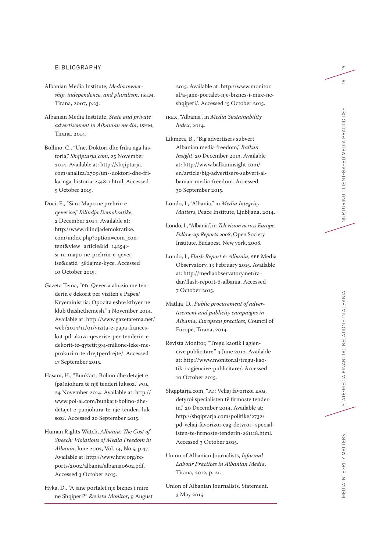#### BIBLIOGRAPHY

- Albanian Media Institute, *Media ownership, independence, and pluralism*, ISHM, Tirana, 2007, p.23.
- Albanian Media Institute, *State and private advertisement in Albanian media*, ISHM, Tirana, 2014.
- Bollino, C., "Unë, Doktori dhe frika nga historia," *Shqiptarja.com*, 25 November 2014. Available at: http://shqiptarja. com/analiza/2709/un--doktori-dhe-frika-nga-historia-254811.html. Accessed 5 October 2015.
- Doci, E., "Si ra Mapo ne prehrin e qeverise," *Rilindja Demokratike*, 2 December 2014. Available at: http://www.rilindjademokratike. com/index.php?option=com\_content&view=article&id=14254: si-ra-mapo-ne-prehrin-e-qeverise&catid=58:lajme-kyce. Accessed 10 October 2015.
- Gazeta Tema, "PD: Qeveria abuzio me tenderin e dekorit per viziten e Papes/ Kryeministria: Opozita eshte kthyer ne klub thashethemesh," 1 November 2014. Available at: http://www.gazetatema.net/ web/2014/11/01/vizita-e-papa-franceskut-pd-akuza-qeverise-per-tenderin-edekorit-te-qytetit394-milione-leke-meprokurim-te-drejtperdrejte/. Accessed 17 September 2015.
- Hasani, H., "Bunk'art, Bolino dhe detajet e (pa)njohura të një tenderi luksoz," *POL,*  24 November 2014. Available at: http:// www.pol-al.com/bunkart-bolino-dhedetajet-e-panjohura-te-nje-tenderi-luksoz/. Accessed 20 September 2015.
- Human Rights Watch, *Albania: The Cost of Speech: Violations of Media Freedom in Albania*, June 2002, Vol. 14, No.5, p.47. Available at: http://www.hrw.org/reports/2002/albania/albania0602.pdf. Accessed 3 October 2015.
- Hyka, D., "A jane portalet nje biznes i mire ne Shqiperi?" *Revista Monitor*, 9 August

2015. Available at: http://www.monitor. al/a-jane-portalet-nje-biznes-i-mire-neshqiperi/. Accessed 15 October 2015.

- IREX, "Albania", in *Media Sustainability Index*, 2014.
- Likmeta, B., "Big advertisers subvert Albanian media freedom," *Balkan Insight*, 20 December 2013. Available at: http://www.balkaninsight.com/ en/article/big-advertisers-subvert-albanian-media-freedom. Accessed 30 September 2015.
- Londo, I., "Albania," in *Media Integrity Matters*, Peace Institute, Ljubljana, 2014.
- Londo, I., "Albania", in *Television across Europe: Follow-up Reports 2008*, Open Society Institute, Budapest, New york, 2008.
- Londo, I., *Flash Report 6: Albania*, SEE Media Observatory, 13 February 2015. Available at: http://mediaobservatory.net/radar/flash-report-6-albania. Accessed 7 October 2015.
- Matlija, D., *Public procurement of advertisement and publicity campaigns in Albania, European practices*, Council of Europe, Tirana, 2014.
- Revista Monitor, "Tregu kaotik i agjencive publicitare," 4 June 2012. Available at: http://www.monitor.al/tregu-kaotik-i-agjencive-publicitare/. Accessed 10 October 2015.
- Shqiptarja.com, "PD: Veliaj favorizoi EAG, detyroi specialisten të firmoste tenderin," 20 December 2014. Available at: http://shqiptarja.com/politike/2732/ pd-veliaj-favorizoi-eag-detyroi--specialisten-te-firmoste-tenderin-261118.html. Accessed 3 October 2015.
- Union of Albanian Journalists, *Informal Labour Practices in Albanian Media,*  Tirana, 2012, p. 21.
- Union of Albanian Journalists, Statement, 3 May 2015.